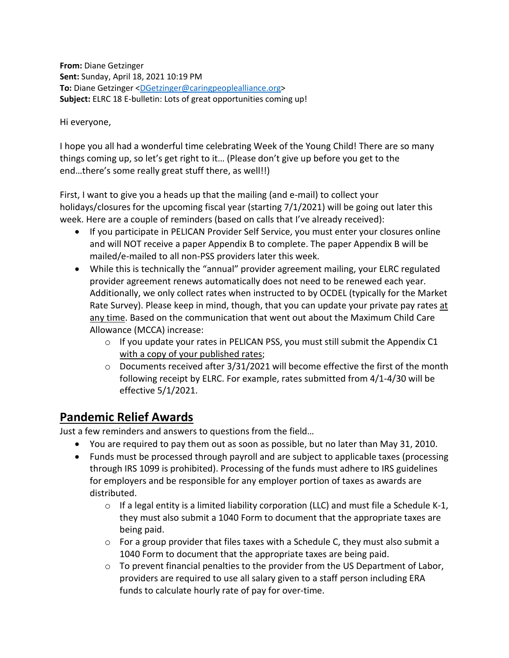**From:** Diane Getzinger **Sent:** Sunday, April 18, 2021 10:19 PM **To:** Diane Getzinger [<DGetzinger@caringpeoplealliance.org>](mailto:DGetzinger@caringpeoplealliance.org) **Subject:** ELRC 18 E-bulletin: Lots of great opportunities coming up!

Hi everyone,

I hope you all had a wonderful time celebrating Week of the Young Child! There are so many things coming up, so let's get right to it… (Please don't give up before you get to the end…there's some really great stuff there, as well!!)

First, I want to give you a heads up that the mailing (and e-mail) to collect your holidays/closures for the upcoming fiscal year (starting 7/1/2021) will be going out later this week. Here are a couple of reminders (based on calls that I've already received):

- If you participate in PELICAN Provider Self Service, you must enter your closures online and will NOT receive a paper Appendix B to complete. The paper Appendix B will be mailed/e-mailed to all non-PSS providers later this week.
- While this is technically the "annual" provider agreement mailing, your ELRC regulated provider agreement renews automatically does not need to be renewed each year. Additionally, we only collect rates when instructed to by OCDEL (typically for the Market Rate Survey). Please keep in mind, though, that you can update your private pay rates at any time. Based on the communication that went out about the Maximum Child Care Allowance (MCCA) increase:
	- o If you update your rates in PELICAN PSS, you must still submit the Appendix C1 with a copy of your published rates;
	- $\circ$  Documents received after 3/31/2021 will become effective the first of the month following receipt by ELRC. For example, rates submitted from 4/1-4/30 will be effective 5/1/2021.

# **Pandemic Relief Awards**

Just a few reminders and answers to questions from the field…

- You are required to pay them out as soon as possible, but no later than May 31, 2010.
- Funds must be processed through payroll and are subject to applicable taxes (processing through IRS 1099 is prohibited). Processing of the funds must adhere to IRS guidelines for employers and be responsible for any employer portion of taxes as awards are distributed.
	- $\circ$  If a legal entity is a limited liability corporation (LLC) and must file a Schedule K-1, they must also submit a 1040 Form to document that the appropriate taxes are being paid.
	- $\circ$  For a group provider that files taxes with a Schedule C, they must also submit a 1040 Form to document that the appropriate taxes are being paid.
	- o To prevent financial penalties to the provider from the US Department of Labor, providers are required to use all salary given to a staff person including ERA funds to calculate hourly rate of pay for over-time.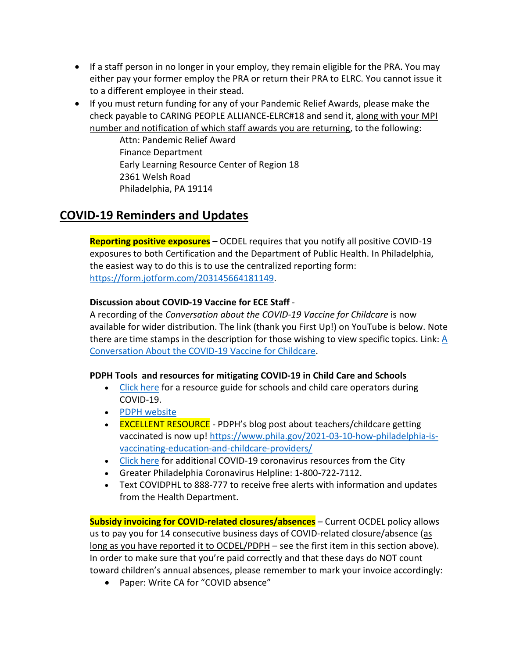- If a staff person in no longer in your employ, they remain eligible for the PRA. You may either pay your former employ the PRA or return their PRA to ELRC. You cannot issue it to a different employee in their stead.
- If you must return funding for any of your Pandemic Relief Awards, please make the check payable to CARING PEOPLE ALLIANCE-ELRC#18 and send it, along with your MPI number and notification of which staff awards you are returning, to the following:

Attn: Pandemic Relief Award Finance Department Early Learning Resource Center of Region 18 2361 Welsh Road Philadelphia, PA 19114

# **COVID-19 Reminders and Updates**

**Reporting positive exposures** – OCDEL requires that you notify all positive COVID-19 exposures to both Certification and the Department of Public Health. In Philadelphia, the easiest way to do this is to use the centralized reporting form: [https://form.jotform.com/203145664181149.](https://form.jotform.com/203145664181149)

### **Discussion about COVID-19 Vaccine for ECE Staff** -

A recording of the *Conversation about the COVID-19 Vaccine for Childcare* is now available for wider distribution. The link (thank you First Up!) on YouTube is below. Note there are time stamps in the description for those wishing to view specific topics. Link: [A](https://www.youtube.com/watch?v=l9-M2Fj3shE)  [Conversation About the COVID-19 Vaccine for Childcare.](https://www.youtube.com/watch?v=l9-M2Fj3shE)

### **PDPH Tools and resources for mitigating COVID-19 in Child Care and Schools**

- [Click here](https://www.phila.gov/documents/resources-for-child-care-and-summer-camp-operators-during-covid-19/) for a resource guide for schools and child care operators during COVID-19.
- [PDPH website](https://www.phila.gov/programs/coronavirus-disease-2019-covid-19/)
- EXCELLENT RESOURCE PDPH's blog post about teachers/childcare getting vaccinated is now up! [https://www.phila.gov/2021-03-10-how-philadelphia-is](https://www.phila.gov/2021-03-10-how-philadelphia-is-vaccinating-education-and-childcare-providers/)[vaccinating-education-and-childcare-providers/](https://www.phila.gov/2021-03-10-how-philadelphia-is-vaccinating-education-and-childcare-providers/)
- [Click here](https://www.phila.gov/programs/coronavirus-disease-2019-covid-19/guidance/guidance-documents/#/) for additional COVID-19 coronavirus resources from the City
- Greater Philadelphia Coronavirus Helpline: 1-800-722-7112.
- Text COVIDPHL to 888-777 to receive free alerts with information and updates from the Health Department.

**Subsidy invoicing for COVID-related closures/absences** – Current OCDEL policy allows us to pay you for 14 consecutive business days of COVID-related closure/absence (as long as you have reported it to OCDEL/PDPH – see the first item in this section above). In order to make sure that you're paid correctly and that these days do NOT count toward children's annual absences, please remember to mark your invoice accordingly:

• Paper: Write CA for "COVID absence"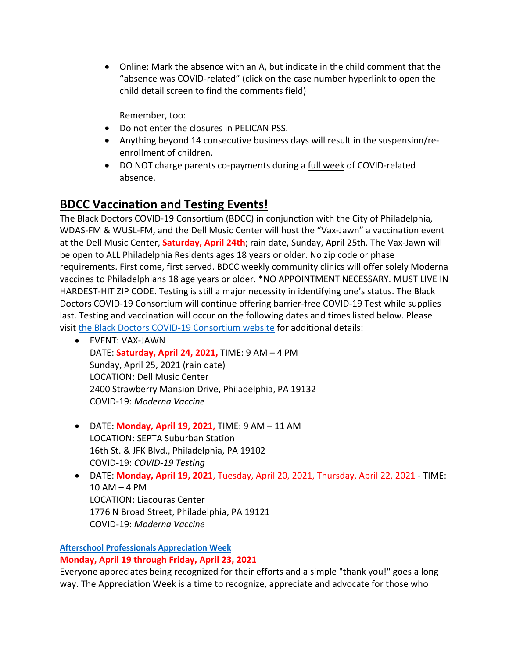• Online: Mark the absence with an A, but indicate in the child comment that the "absence was COVID-related" (click on the case number hyperlink to open the child detail screen to find the comments field)

Remember, too:

- Do not enter the closures in PELICAN PSS.
- Anything beyond 14 consecutive business days will result in the suspension/reenrollment of children.
- DO NOT charge parents co-payments during a full week of COVID-related absence.

# **BDCC Vaccination and Testing Events!**

The Black Doctors COVID-19 Consortium (BDCC) in conjunction with the City of Philadelphia, WDAS-FM & WUSL-FM, and the Dell Music Center will host the "Vax-Jawn" a vaccination event at the Dell Music Center, **Saturday, April 24th**; rain date, Sunday, April 25th. The Vax-Jawn will be open to ALL Philadelphia Residents ages 18 years or older. No zip code or phase requirements. First come, first served. BDCC weekly community clinics will offer solely Moderna vaccines to Philadelphians 18 age years or older. \*NO APPOINTMENT NECESSARY. MUST LIVE IN HARDEST-HIT ZIP CODE. Testing is still a major necessity in identifying one's status. The Black Doctors COVID-19 Consortium will continue offering barrier-free COVID-19 Test while supplies last. Testing and vaccination will occur on the following dates and times listed below. Please visit [the Black Doctors COVID-19 Consortium website](http://www.blackdoctorsconsortium.com/) for additional details:

- EVENT: VAX-JAWN DATE: **Saturday, April 24, 2021,** TIME: 9 AM – 4 PM Sunday, April 25, 2021 (rain date) LOCATION: Dell Music Center 2400 Strawberry Mansion Drive, Philadelphia, PA 19132 COVID-19: *Moderna Vaccine*
- DATE: **Monday, April 19, 2021,** TIME: 9 AM 11 AM LOCATION: SEPTA Suburban Station 16th St. & JFK Blvd., Philadelphia, PA 19102 COVID-19: *COVID-19 Testing*
- DATE: **Monday, April 19, 2021**, Tuesday, April 20, 2021, Thursday, April 22, 2021 TIME:  $10$  AM  $-$  4 PM LOCATION: Liacouras Center 1776 N Broad Street, Philadelphia, PA 19121 COVID-19: *Moderna Vaccine*

## **[Afterschool Professionals Appreciation Week](https://naaweb.org/naa-events/afterschool-professionals-appreciation-week)**

**Monday, April 19 through Friday, April 23, 2021**

Everyone appreciates being recognized for their efforts and a simple "thank you!" goes a long way. The Appreciation Week is a time to recognize, appreciate and advocate for those who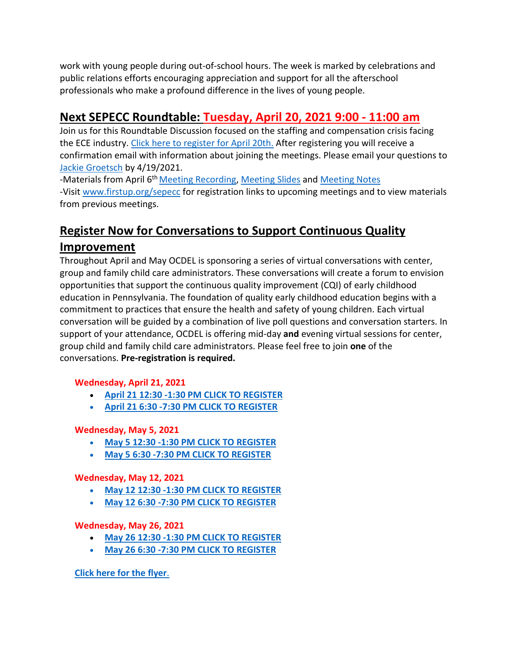work with young people during out-of-school hours. The week is marked by celebrations and public relations efforts encouraging appreciation and support for all the afterschool professionals who make a profound difference in the lives of young people.

# **Next SEPECC Roundtable: Tuesday, April 20, 2021 9:00 - 11:00 am**

Join us for this Roundtable Discussion focused on the staffing and compensation crisis facing the ECE industry. [Click here to register for April 20th.](https://zoom.us/meeting/register/tJ0pcOCgrDwuGtCQxzgi12LhJKtdP2lJD2qG) After registering you will receive a confirmation email with information about joining the meetings. Please email your questions to [Jackie Groetsch](mailto:Jackie.Groetsch@FirstUp.org) by 4/19/2021.

-Materials from April 6<sup>th</sup> Meeting Recording, [Meeting Slides](https://www.firstup.org/wp-content/uploads/2016/02/SEPECC-Mtg.-Slides-4.6.2021.pdf) and [Meeting Notes](https://www.firstup.org/wp-content/uploads/2016/02/SEPECC-Meeting-Notes-4.6.2021.pdf) -Visit [www.firstup.org/sepecc](https://www.firstup.org/sepecc) for registration links to upcoming meetings and to view materials from previous meetings.

# **Register Now for Conversations to Support Continuous Quality Improvement**

Throughout April and May OCDEL is sponsoring a series of virtual conversations with center, group and family child care administrators. These conversations will create a forum to envision opportunities that support the continuous quality improvement (CQI) of early childhood education in Pennsylvania. The foundation of quality early childhood education begins with a commitment to practices that ensure the health and safety of young children. Each virtual conversation will be guided by a combination of live poll questions and conversation starters. In support of your attendance, OCDEL is offering mid-day **and** evening virtual sessions for center, group child and family child care administrators. Please feel free to join **one** of the conversations. **Pre-registration is required.**

## **Wednesday, April 21, 2021**

- **[April 21 12:30 -1:30 PM CLICK TO REGISTER](https://berksiu.zoom.us/meeting/register/tJMkceutpjssHtYiusGZkAACU5RbaTdXHI4Y)**
- **[April 21 6:30 -7:30 PM CLICK TO REGISTER](https://berksiu.zoom.us/meeting/register/tJEvd-2pqT8oGt2BOSZp5mobb43YJIiqLFa1)**

## **Wednesday, May 5, 2021**

- **[May 5 12:30 -1:30 PM CLICK TO REGISTER](https://berksiu.zoom.us/meeting/register/tJIscOqtpj0uHNeafeL_s-Y6zHTbGQH__a4x)**
- **[May 5 6:30 -7:30 PM CLICK TO REGISTER](https://berksiu.zoom.us/meeting/register/tJ0rf-GorDMpHNJXU_TJVX-wLCmGw4Dxfl2J)**

## **Wednesday, May 12, 2021**

- **[May 12 12:30 -1:30 PM CLICK TO REGISTER](https://berksiu.zoom.us/meeting/register/tJYvcOqvqjIvHt1SgF2B5rpawH6OyoDWlhco)**
- **[May 12 6:30 -7:30 PM CLICK TO REGISTER](https://berksiu.zoom.us/meeting/register/tJctcO-sqDMqHN1dN0ZntjbxJSr2mIIXQWgb)**

## **Wednesday, May 26, 2021**

- **[May 26 12:30 -1:30 PM CLICK TO REGISTER](https://berksiu.zoom.us/meeting/register/tJctcO-sqDMqHN1dN0ZntjbxJSr2mIIXQWgb)**
- **[May 26 6:30 -7:30 PM CLICK TO REGISTER](https://berksiu.zoom.us/meeting/register/tJAkceigqT0uE905wKknQkf1RCLvPR0K3TQB)**

## **[Click here for the flyer](https://files.constantcontact.com/3e3d36fe201/453279e8-0d71-40aa-993b-5793a6337e25.pdf)**.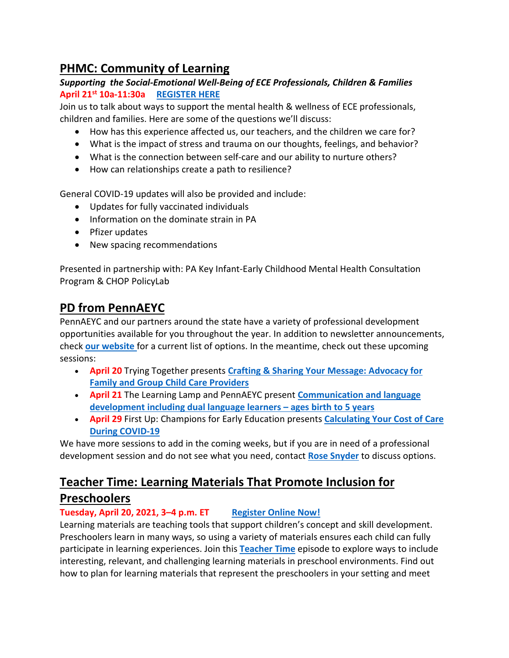# **PHMC: Community of Learning**

## *Supporting the Social-Emotional Well-Being of ECE Professionals, Children & Families* **April 21st 10a-11:30a [REGISTER HERE](https://register.gotowebinar.com/register/8950238368162413837)**

Join us to talk about ways to support the mental health & wellness of ECE professionals, children and families. Here are some of the questions we'll discuss:

- How has this experience affected us, our teachers, and the children we care for?
- What is the impact of stress and trauma on our thoughts, feelings, and behavior?
- What is the connection between self-care and our ability to nurture others?
- How can relationships create a path to resilience?

General COVID-19 updates will also be provided and include:

- Updates for fully vaccinated individuals
- Information on the dominate strain in PA
- Pfizer updates
- New spacing recommendations

Presented in partnership with: PA Key Infant-Early Childhood Mental Health Consultation Program & CHOP PolicyLab

## **PD from PennAEYC**

PennAEYC and our partners around the state have a variety of professional development opportunities available for you throughout the year. In addition to newsletter announcements, check **[our website](https://www.pennaeyc.com/our-work/professional-development/upcoming-events/)** for a current list of options. In the meantime, check out these upcoming sessions:

- **April 20** Trying Together presents **[Crafting & Sharing Your Message: Advocacy for](https://tryingtogether.org/event/child-care-advocacy/)  [Family and Group Child Care Providers](https://tryingtogether.org/event/child-care-advocacy/)**
- **April 21** The Learning Lamp and PennAEYC present **[Communication and language](https://www.thelearninglamp.org/events/)  [development including dual language learners –](https://www.thelearninglamp.org/events/) ages birth to 5 years**
- **April 29** First Up: Champions for Early Education presents **[Calculating Your Cost of Care](https://zoom.us/j/95326558538?pwd=RGhuQ1IvZzNPTFU0a2RCMG9URStwQT09#success)  [During COVID-19](https://zoom.us/j/95326558538?pwd=RGhuQ1IvZzNPTFU0a2RCMG9URStwQT09#success)**

We have more sessions to add in the coming weeks, but if you are in need of a professional development session and do not see what you need, contact **[Rose Snyder](mailto:rsnyder@pennaeyc.org)** to discuss options.

# **Teacher Time: Learning Materials That Promote Inclusion for Preschoolers**

## **Tuesday, April 20, 2021, 3–4 p.m. ET [Register Online Now!](https://event.on24.com/eventRegistration/EventLobbyServlet?target=reg20.jsp&cid=00989e3d38996c54eb82f3d109694a87&eventid=2996803&sessionid=1&key=01C39A81D640B5184F09BF3A44D7CC74®Tag=&V2=false&sourcepage=register)**

Learning materials are teaching tools that support children's concept and skill development. Preschoolers learn in many ways, so using a variety of materials ensures each child can fully participate in learning experiences. Join this **[Teacher Time](https://eclkc.ohs.acf.hhs.gov/teaching-practices/teacher-time-series/teacher-time-series?utm_medium=email&utm_campaign=Learning%20Materials%20That%20Promote%20Inclusion%20for%20Preschoolers&utm_content=Learning%20Materials%20That%20Promote%20Inclusion%20for%20Preschoolers+CID_00989e3d38996c54eb82f3d109694a87&utm_source=CM%20Eblast&utm_term=Teacher%20Time&cid=00989e3d38996c54eb82f3d109694a87)** episode to explore ways to include interesting, relevant, and challenging learning materials in preschool environments. Find out how to plan for learning materials that represent the preschoolers in your setting and meet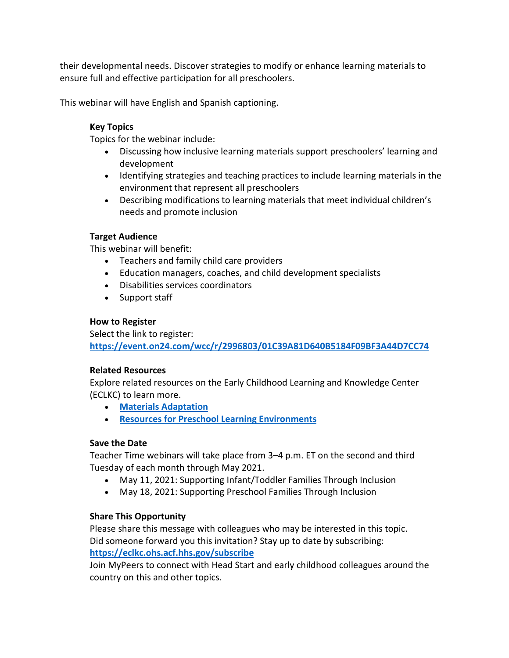their developmental needs. Discover strategies to modify or enhance learning materials to ensure full and effective participation for all preschoolers.

This webinar will have English and Spanish captioning.

#### **Key Topics**

Topics for the webinar include:

- Discussing how inclusive learning materials support preschoolers' learning and development
- Identifying strategies and teaching practices to include learning materials in the environment that represent all preschoolers
- Describing modifications to learning materials that meet individual children's needs and promote inclusion

#### **Target Audience**

This webinar will benefit:

- Teachers and family child care providers
- Education managers, coaches, and child development specialists
- Disabilities services coordinators
- Support staff

#### **How to Register**

Select the link to register: **[https://event.on24.com/wcc/r/2996803/01C39A81D640B5184F09BF3A44D7CC74](https://event.on24.com/eventRegistration/EventLobbyServlet?target=reg20.jsp&cid=00989e3d38996c54eb82f3d109694a87&eventid=2996803&sessionid=1&key=01C39A81D640B5184F09BF3A44D7CC74®Tag=&V2=false&sourcepage=register)**

#### **Related Resources**

Explore related resources on the Early Childhood Learning and Knowledge Center (ECLKC) to learn more.

- **[Materials Adaptation](https://eclkc.ohs.acf.hhs.gov/children-disabilities/article/materials-adaptation?utm_medium=email&utm_campaign=Learning%20Materials%20That%20Promote%20Inclusion%20for%20Preschoolers&utm_content=Learning%20Materials%20That%20Promote%20Inclusion%20for%20Preschoolers+CID_00989e3d38996c54eb82f3d109694a87&utm_source=CM%20Eblast&utm_term=Materials%20Adaptation&cid=00989e3d38996c54eb82f3d109694a87)**
- **[Resources for Preschool Learning Environments](https://eclkc.ohs.acf.hhs.gov/learning-environments/article/resources-preschool-learning-environments?utm_medium=email&utm_campaign=Learning%20Materials%20That%20Promote%20Inclusion%20for%20Preschoolers&utm_content=Learning%20Materials%20That%20Promote%20Inclusion%20for%20Preschoolers+CID_00989e3d38996c54eb82f3d109694a87&utm_source=CM%20Eblast&utm_term=Resources%20for%20Preschool%20Learning%20Environments&cid=00989e3d38996c54eb82f3d109694a87)**

### **Save the Date**

Teacher Time webinars will take place from 3–4 p.m. ET on the second and third Tuesday of each month through May 2021.

- May 11, 2021: Supporting Infant/Toddler Families Through Inclusion
- May 18, 2021: Supporting Preschool Families Through Inclusion

### **Share This Opportunity**

Please share this message with colleagues who may be interested in this topic. Did someone forward you this invitation? Stay up to date by subscribing: **[https://eclkc.ohs.acf.hhs.gov/subscribe](https://eclkc.ohs.acf.hhs.gov/subscribe?utm_medium=email&utm_campaign=Learning%20Materials%20That%20Promote%20Inclusion%20for%20Preschoolers&utm_content=Learning%20Materials%20That%20Promote%20Inclusion%20for%20Preschoolers+CID_00989e3d38996c54eb82f3d109694a87&utm_source=CM%20Eblast&utm_term=httpseclkcohsacfhhsgovsubscribe&cid=00989e3d38996c54eb82f3d109694a87)**

Join MyPeers to connect with Head Start and early childhood colleagues around the country on this and other topics.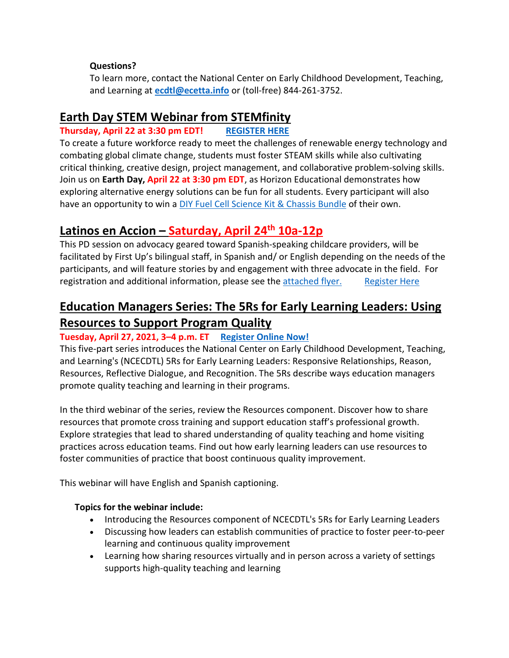### **Questions?**

To learn more, contact the National Center on Early Childhood Development, Teaching, and Learning at **[ecdtl@ecetta.info](mailto:ecdtl@ecetta.info)** or (toll-free) 844-261-3752.

## **Earth Day STEM Webinar from STEMfinity**

## **Thursday, April 22 at 3:30 pm EDT! [REGISTER HERE](https://docs.google.com/forms/d/e/1FAIpQLScQ2HBKXHwa-0qGDYdefjTle3ty8k9qTFbGdJKlPG2SYFMMuw/viewform)**

To create a future workforce ready to meet the challenges of renewable energy technology and combating global climate change, students must foster STEAM skills while also cultivating critical thinking, creative design, project management, and collaborative problem-solving skills. Join us on **Earth Day, April 22 at 3:30 pm EDT**, as Horizon Educational demonstrates how exploring alternative energy solutions can be fun for all students. Every participant will also have an opportunity to win a [DIY Fuel Cell Science Kit & Chassis Bundle](https://stemfinity.com/products/horizon-diy-fuel-cell-science-kit-chassis-bundle?utm_source=STEMfinity+Company+Newsletter&utm_campaign=1a06b9baef-EMAIL_CAMPAIGN_2017_07_07_COPY_01&utm_medium=email&utm_term=0_6c865d426e-1a06b9baef-302767968) of their own.

## **Latinos en Accion – Saturday, April 24th 10a-12p**

This PD session on advocacy geared toward Spanish-speaking childcare providers, will be facilitated by First Up's bilingual staff, in Spanish and/ or English depending on the needs of the participants, and will feature stories by and engagement with three advocate in the field. For registration and additional information, please see the [attached flyer.](https://www.dropbox.com/s/xt5tf80c6giop9g/LATINOS%20EDUCANDO%20JUNTOS%20EN%20PENNSYLVANIA%204.24.21.pdf?dl=0) [Register Here](https://www.papdregistry.org/register.aspx?evid=325006)

# **Education Managers Series: The 5Rs for Early Learning Leaders: Using Resources to Support Program Quality**

## **Tuesday, April 27, 2021, 3–4 p.m. ET [Register Online Now!](https://event.on24.com/eventRegistration/EventLobbyServlet?target=reg20.jsp&cid=dc471e52ebe84c48ace7522965ebde5b&eventid=2996174&sessionid=1&key=DBCCBA191DDDFADDD7023BEB66FCEE7D®Tag=&V2=false&sourcepage=register)**

This five-part series introduces the National Center on Early Childhood Development, Teaching, and Learning's (NCECDTL) 5Rs for Early Learning Leaders: Responsive Relationships, Reason, Resources, Reflective Dialogue, and Recognition. The 5Rs describe ways education managers promote quality teaching and learning in their programs.

In the third webinar of the series, review the Resources component. Discover how to share resources that promote cross training and support education staff's professional growth. Explore strategies that lead to shared understanding of quality teaching and home visiting practices across education teams. Find out how early learning leaders can use resources to foster communities of practice that boost continuous quality improvement.

This webinar will have English and Spanish captioning.

## **Topics for the webinar include:**

- Introducing the Resources component of NCECDTL's 5Rs for Early Learning Leaders
- Discussing how leaders can establish communities of practice to foster peer-to-peer learning and continuous quality improvement
- Learning how sharing resources virtually and in person across a variety of settings supports high-quality teaching and learning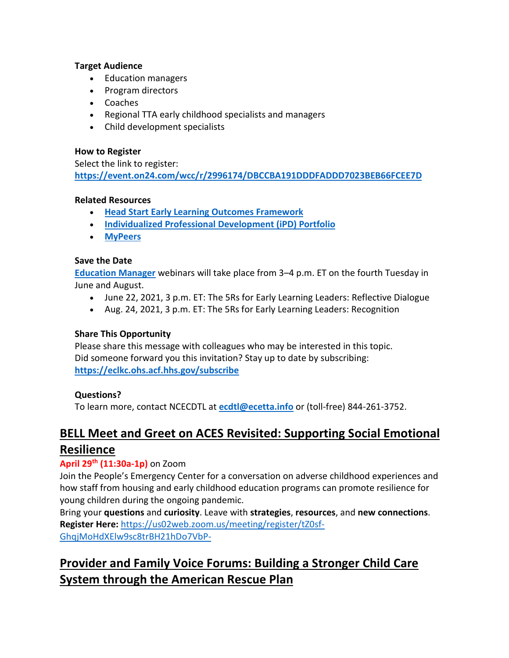#### **Target Audience**

- Education managers
- Program directors
- Coaches
- Regional TTA early childhood specialists and managers
- Child development specialists

#### **How to Register**

Select the link to register: **[https://event.on24.com/wcc/r/2996174/DBCCBA191DDDFADDD7023BEB66FCEE7D](https://event.on24.com/eventRegistration/EventLobbyServlet?target=reg20.jsp&cid=dc471e52ebe84c48ace7522965ebde5b&eventid=2996174&sessionid=1&key=DBCCBA191DDDFADDD7023BEB66FCEE7D®Tag=&V2=false&sourcepage=register)**

#### **Related Resources**

- **[Head Start Early Learning Outcomes Framework](https://eclkc.ohs.acf.hhs.gov/school-readiness/article/head-start-early-learning-outcomes-framework?utm_medium=email&utm_campaign=The%205Rs%20for%20Early%20Learning%20Leaders%20Using%20Resources%20to%20Support%20Program%20Quality&utm_content=The%205Rs%20for%20Early%20Learning%20Leaders%20Using%20Resources%20to%20Support%20Program%20Quality+CID_dc471e52ebe84c48ace7522965ebde5b&utm_source=CM%20Eblast&utm_term=Head%20Start%20Early%20Learning%20Outcomes%20Framework&cid=dc471e52ebe84c48ace7522965ebde5b)**
- **[Individualized Professional Development \(iPD\) Portfolio](https://eclkc.ohs.acf.hhs.gov/professional-development/individualized-professional-development-ipd-portfolio/individualized-professional-development-ipd-portfolio?utm_medium=email&utm_campaign=The%205Rs%20for%20Early%20Learning%20Leaders%20Using%20Resources%20to%20Support%20Program%20Quality&utm_content=The%205Rs%20for%20Early%20Learning%20Leaders%20Using%20Resources%20to%20Support%20Program%20Quality+CID_dc471e52ebe84c48ace7522965ebde5b&utm_source=CM%20Eblast&utm_term=Individualized%20Professional%20Development%20iPD%20Portfolio&cid=dc471e52ebe84c48ace7522965ebde5b)**
- **[MyPeers](https://eclkc.ohs.acf.hhs.gov/about-us/article/mypeers-collaborative-platform-early-care-education-community?utm_medium=email&utm_campaign=The%205Rs%20for%20Early%20Learning%20Leaders%20Using%20Resources%20to%20Support%20Program%20Quality&utm_content=The%205Rs%20for%20Early%20Learning%20Leaders%20Using%20Resources%20to%20Support%20Program%20Quality+CID_dc471e52ebe84c48ace7522965ebde5b&utm_source=CM%20Eblast&utm_term=MyPeers&cid=dc471e52ebe84c48ace7522965ebde5b)**

#### **Save the Date**

**[Education Manager](https://eclkc.ohs.acf.hhs.gov/teaching-practices/article/education-manager-series?utm_medium=email&utm_campaign=The%205Rs%20for%20Early%20Learning%20Leaders%20Using%20Resources%20to%20Support%20Program%20Quality&utm_content=The%205Rs%20for%20Early%20Learning%20Leaders%20Using%20Resources%20to%20Support%20Program%20Quality+CID_dc471e52ebe84c48ace7522965ebde5b&utm_source=CM%20Eblast&utm_term=Education%20Manager&cid=dc471e52ebe84c48ace7522965ebde5b)** webinars will take place from 3–4 p.m. ET on the fourth Tuesday in June and August.

- June 22, 2021, 3 p.m. ET: The 5Rs for Early Learning Leaders: Reflective Dialogue
- Aug. 24, 2021, 3 p.m. ET: The 5Rs for Early Learning Leaders: Recognition

### **Share This Opportunity**

Please share this message with colleagues who may be interested in this topic. Did someone forward you this invitation? Stay up to date by subscribing: **[https://eclkc.ohs.acf.hhs.gov/subscribe](https://eclkc.ohs.acf.hhs.gov/subscribe?utm_medium=email&utm_campaign=The%205Rs%20for%20Early%20Learning%20Leaders%20Using%20Resources%20to%20Support%20Program%20Quality&utm_content=The%205Rs%20for%20Early%20Learning%20Leaders%20Using%20Resources%20to%20Support%20Program%20Quality+CID_dc471e52ebe84c48ace7522965ebde5b&utm_source=CM%20Eblast&utm_term=httpseclkcohsacfhhsgovsubscribe&cid=dc471e52ebe84c48ace7522965ebde5b)**

### **Questions?**

To learn more, contact NCECDTL at **[ecdtl@ecetta.info](mailto:ecdtl@ecetta.info)** or (toll-free) 844-261-3752.

## **BELL Meet and Greet on ACES Revisited: Supporting Social Emotional Resilience**

### **April 29th (11:30a-1p)** on Zoom

Join the People's Emergency Center for a conversation on adverse childhood experiences and how staff from housing and early childhood education programs can promote resilience for young children during the ongoing pandemic.

Bring your **questions** and **curiosity**. Leave with **strategies**, **resources**, and **new connections**. **Register Here:** [https://us02web.zoom.us/meeting/register/tZ0sf-](https://us02web.zoom.us/meeting/register/tZ0sf-GhqjMoHdXElw9sc8trBH21hDo7VbP-)[GhqjMoHdXElw9sc8trBH21hDo7VbP-](https://us02web.zoom.us/meeting/register/tZ0sf-GhqjMoHdXElw9sc8trBH21hDo7VbP-)

# **Provider and Family Voice Forums: Building a Stronger Child Care System through the American Rescue Plan**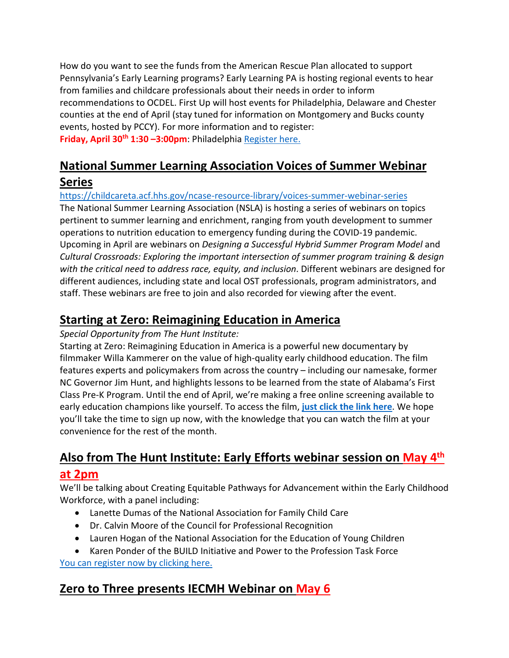How do you want to see the funds from the American Rescue Plan allocated to support Pennsylvania's Early Learning programs? Early Learning PA is hosting regional events to hear from families and childcare professionals about their needs in order to inform recommendations to OCDEL. First Up will host events for Philadelphia, Delaware and Chester counties at the end of April (stay tuned for information on Montgomery and Bucks county events, hosted by PCCY). For more information and to register: Friday, April 30<sup>th</sup> 1:30 -3:00pm: Philadelphi[a Register here.](https://zoom.us/meeting/register/tJUude2orDMuHtEbRO6QAVIIL_A3gs3FPzll)

# **National Summer Learning Association Voices of Summer Webinar Series**

## <https://childcareta.acf.hhs.gov/ncase-resource-library/voices-summer-webinar-series>

The National Summer Learning Association (NSLA) is hosting a series of webinars on topics pertinent to summer learning and enrichment, ranging from youth development to summer operations to nutrition education to emergency funding during the COVID-19 pandemic. Upcoming in April are webinars on *Designing a Successful Hybrid Summer Program Model* and *Cultural Crossroads: Exploring the important intersection of summer program training & design with the critical need to address race, equity, and inclusion*. Different webinars are designed for different audiences, including state and local OST professionals, program administrators, and staff. These webinars are free to join and also recorded for viewing after the event.

## **Starting at Zero: Reimagining Education in America**

### *Special Opportunity from The Hunt Institute:*

Starting at Zero: Reimagining Education in America is a powerful new documentary by filmmaker Willa Kammerer on the value of high-quality early childhood education. The film features experts and policymakers from across the country – including our namesake, former NC Governor Jim Hunt, and highlights lessons to be learned from the state of Alabama's First Class Pre-K Program. Until the end of April, we're making a free online screening available to early education champions like yourself. To access the film, **[just click the link here](https://mailchi.mp/startingatzerothefilm/woyc2021)**. We hope you'll take the time to sign up now, with the knowledge that you can watch the film at your convenience for the rest of the month.

# **Also from The Hunt Institute: Early Efforts webinar session on May 4th at 2pm**

We'll be talking about Creating Equitable Pathways for Advancement within the Early Childhood Workforce, with a panel including:

- Lanette Dumas of the National Association for Family Child Care
- Dr. Calvin Moore of the Council for Professional Recognition
- Lauren Hogan of the National Association for the Education of Young Children
- Karen Ponder of the BUILD Initiative and Power to the Profession Task Force [You can register now by clicking here.](https://zoom.us/webinar/register/WN_luRkK2wzT1eWx1EoZtw6mA)

# **Zero to Three presents IECMH Webinar on May 6**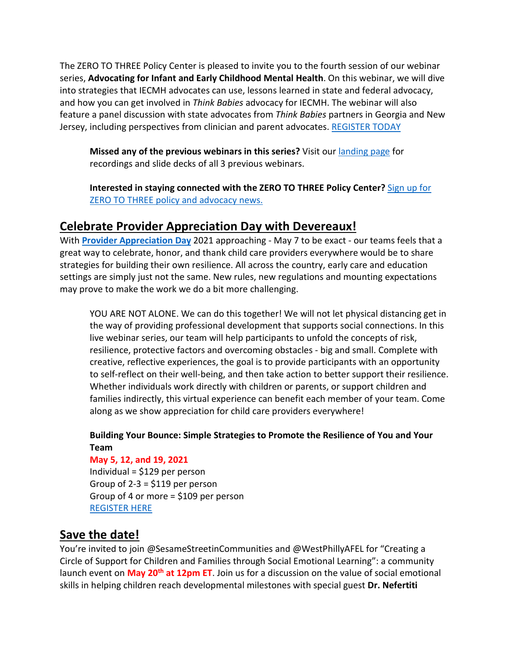The ZERO TO THREE Policy Center is pleased to invite you to the fourth session of our webinar series, **Advocating for Infant and Early Childhood Mental Health**. On this webinar, we will dive into strategies that IECMH advocates can use, lessons learned in state and federal advocacy, and how you can get involved in *Think Babies* advocacy for IECMH. The webinar will also feature a panel discussion with state advocates from *Think Babies* partners in Georgia and New Jersey, including perspectives from clinician and parent advocates. [REGISTER TODAY](https://zerotothree.zoom.us/webinar/register/WN_d-jLCQuNRhybi4mquDPwtg?utm_medium=email&utm_source=email_link&utm_content=resources_webinar_promo_04162021&utm_campaign=policy_center)

**Missed any of the previous webinars in this series?** Visit our [landing page](https://www.zerotothree.org/resources/3759-webinar-series-infant-and-early-childhood-mental-health-policy?utm_medium=email&utm_source=email_link&utm_content=resources_webinar_promo_04162021&utm_campaign=policy_center) for recordings and slide decks of all 3 previous webinars.

**Interested in staying connected with the ZERO TO THREE Policy Center?** [Sign up for](https://www.zerotothree.org/policy-network?utm_medium=email&utm_source=email_link&utm_content=resources_webinar_promo_04162021&utm_campaign=policy_center)  [ZERO TO THREE policy and advocacy news.](https://www.zerotothree.org/policy-network?utm_medium=email&utm_source=email_link&utm_content=resources_webinar_promo_04162021&utm_campaign=policy_center)

## **Celebrate Provider Appreciation Day with Devereaux!**

With **[Provider Appreciation Day](https://providerappreciation.org/)** 2021 approaching - May 7 to be exact - our teams feels that a great way to celebrate, honor, and thank child care providers everywhere would be to share strategies for building their own resilience. All across the country, early care and education settings are simply just not the same. New rules, new regulations and mounting expectations may prove to make the work we do a bit more challenging.

YOU ARE NOT ALONE. We can do this together! We will not let physical distancing get in the way of providing professional development that supports social connections. In this live webinar series, our team will help participants to unfold the concepts of risk, resilience, protective factors and overcoming obstacles - big and small. Complete with creative, reflective experiences, the goal is to provide participants with an opportunity to self-reflect on their well-being, and then take action to better support their resilience. Whether individuals work directly with children or parents, or support children and families indirectly, this virtual experience can benefit each member of your team. Come along as we show appreciation for child care providers everywhere!

## **Building Your Bounce: Simple Strategies to Promote the Resilience of You and Your Team**

### **May 5, 12, and 19, 2021**

Individual =  $$129$  per person Group of  $2-3 = $119$  per person Group of 4 or more = \$109 per person [REGISTER HERE](https://web.cvent.com/event/ac376fcd-bdb5-42b3-b8d6-2141b673f2b7/summary?RefId=apr15promo)

## **Save the date!**

You're invited to join @SesameStreetinCommunities and @WestPhillyAFEL for "Creating a Circle of Support for Children and Families through Social Emotional Learning": a community launch event on **May 20th at 12pm ET**. Join us for a discussion on the value of social emotional skills in helping children reach developmental milestones with special guest **Dr. Nefertiti**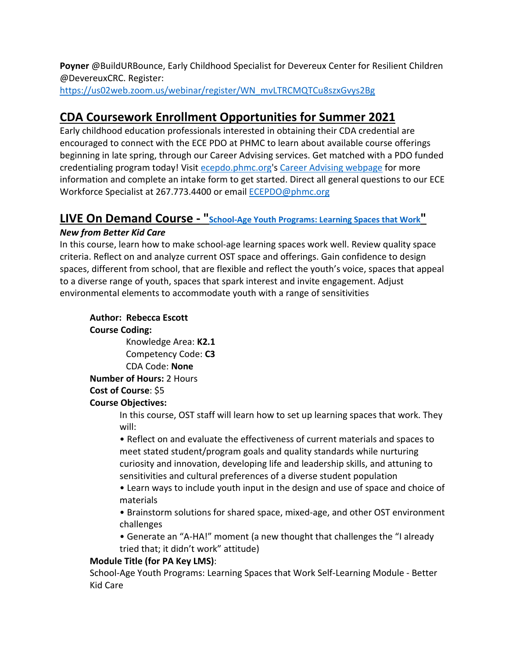**Poyner** @BuildURBounce, Early Childhood Specialist for Devereux Center for Resilient Children @DevereuxCRC. Register:

[https://us02web.zoom.us/webinar/register/WN\\_mvLTRCMQTCu8szxGvys2Bg](https://us02web.zoom.us/webinar/register/WN_mvLTRCMQTCu8szxGvys2Bg)

# **CDA Coursework Enrollment Opportunities for Summer 2021**

Early childhood education professionals interested in obtaining their CDA credential are encouraged to connect with the ECE PDO at PHMC to learn about available course offerings beginning in late spring, through our Career Advising services. Get matched with a PDO funded credentialing program today! Visit [ecepdo.phmc.org'](https://ecepdo.phmc.org/)s [Career Advising webpage](https://ecepdo.phmc.org/career-advising) for more information and complete an intake form to get started. Direct all general questions to our ECE Workforce Specialist at 267.773.4400 or email [ECEPDO@phmc.org](mailto:ECEPDO@phmc.org)

# **LIVE On Demand Course - ["School-Age Youth Programs: Learning Spaces that Work"](https://od.bkc.psu.edu/lesson/2535/information)**

## *New from Better Kid Care*

In this course, learn how to make school-age learning spaces work well. Review quality space criteria. Reflect on and analyze current OST space and offerings. Gain confidence to design spaces, different from school, that are flexible and reflect the youth's voice, spaces that appeal to a diverse range of youth, spaces that spark interest and invite engagement. Adjust environmental elements to accommodate youth with a range of sensitivities

## **Author: Rebecca Escott**

**Course Coding:**

 Knowledge Area: **K2.1** Competency Code: **C3**

CDA Code: **None**

**Number of Hours:** 2 Hours

## **Cost of Course**: \$5

## **Course Objectives:**

In this course, OST staff will learn how to set up learning spaces that work. They will:

• Reflect on and evaluate the effectiveness of current materials and spaces to meet stated student/program goals and quality standards while nurturing curiosity and innovation, developing life and leadership skills, and attuning to sensitivities and cultural preferences of a diverse student population

- Learn ways to include youth input in the design and use of space and choice of materials
- Brainstorm solutions for shared space, mixed-age, and other OST environment challenges
- Generate an "A-HA!" moment (a new thought that challenges the "I already tried that; it didn't work" attitude)

## **Module Title (for PA Key LMS)**:

School-Age Youth Programs: Learning Spaces that Work Self-Learning Module - Better Kid Care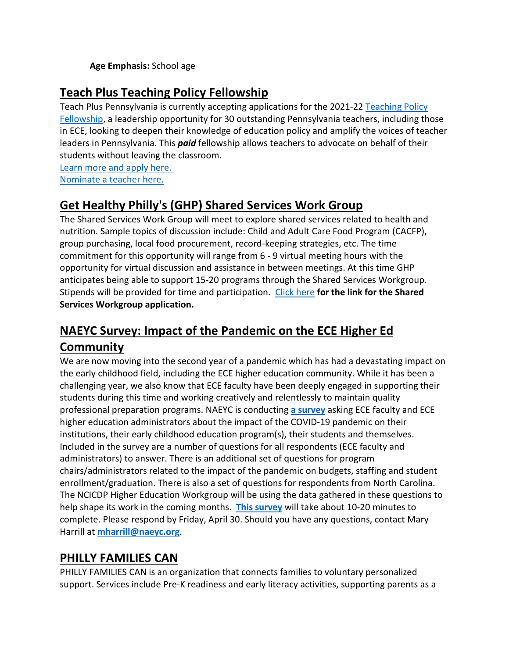### **Age Emphasis:** School age

# **Teach Plus Teaching Policy Fellowship**

Teach Plus Pennsylvania is currently accepting applications for the 2021-2[2 Teaching Policy](https://teachplus.org/pennsylvania-policy-fellowship)  [Fellowship,](https://teachplus.org/pennsylvania-policy-fellowship) a leadership opportunity for 30 outstanding Pennsylvania teachers, including those in ECE, looking to deepen their knowledge of education policy and amplify the voices of teacher leaders in Pennsylvania. This *paid* fellowship allows teachers to advocate on behalf of their students without leaving the classroom.

[Learn more and apply here.](https://teachplus.org/pennsylvania-policy-fellowship) [Nominate a teacher here.](https://teachplus.tfaforms.net/327658) 

# **Get Healthy Philly's (GHP) Shared Services Work Group**

The Shared Services Work Group will meet to explore shared services related to health and nutrition. Sample topics of discussion include: Child and Adult Care Food Program (CACFP), group purchasing, local food procurement, record-keeping strategies, etc. The time commitment for this opportunity will range from 6 - 9 virtual meeting hours with the opportunity for virtual discussion and assistance in between meetings. At this time GHP anticipates being able to support 15-20 programs through the Shared Services Workgroup. Stipends will be provided for time and participation. [Click here](https://philahealth.co1.qualtrics.com/jfe/form/SV_9zweT7ia4mShClL) **for the link for the Shared Services Workgroup application.**

# **NAEYC Survey: Impact of the Pandemic on the ECE Higher Ed Community**

We are now moving into the second year of a pandemic which has had a devastating impact on the early childhood field, including the ECE higher education community. While it has been a challenging year, we also know that ECE faculty have been deeply engaged in supporting their students during this time and working creatively and relentlessly to maintain quality professional preparation programs. NAEYC is conducting **[a survey](https://www.surveymonkey.com/r/FQS7R5S)** asking ECE faculty and ECE higher education administrators about the impact of the COVID-19 pandemic on their institutions, their early childhood education program(s), their students and themselves. Included in the survey are a number of questions for all respondents (ECE faculty and administrators) to answer. There is an additional set of questions for program chairs/administrators related to the impact of the pandemic on budgets, staffing and student enrollment/graduation. There is also a set of questions for respondents from North Carolina. The NCICDP Higher Education Workgroup will be using the data gathered in these questions to help shape its work in the coming months. **[This survey](https://www.surveymonkey.com/r/FQS7R5S)** will take about 10-20 minutes to complete. Please respond by Friday, April 30. Should you have any questions, contact Mary Harrill at **[mharrill@naeyc.org](mailto:mharrill@naeyc.org)**.

# **PHILLY FAMILIES CAN**

PHILLY FAMILIES CAN is an organization that connects families to voluntary personalized support. Services include Pre-K readiness and early literacy activities, supporting parents as a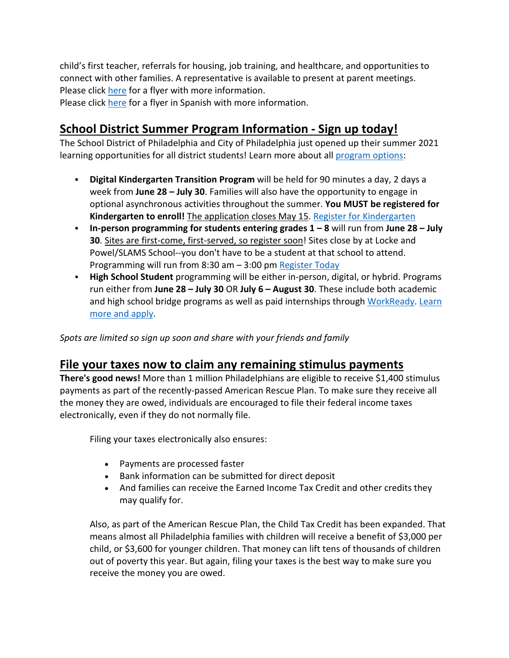child's first teacher, referrals for housing, job training, and healthcare, and opportunities to connect with other families. A representative is available to present at parent meetings. Please click [here](https://mcusercontent.com/e0573e59082d79044cb7cb5d6/files/25ae7198-0ab3-4fa5-92a7-338f74f5ac46/Philly_Families_CAN_Flyer_ENG_Final.pdf) for a flyer with more information.

Please click [here](https://mcusercontent.com/e0573e59082d79044cb7cb5d6/files/8905594b-96e1-4f11-827c-09d1c8c05024/Philly_Families_CAN_Flyer_ESP_Final.pdf) for a flyer in Spanish with more information.

## **School District Summer Program Information - Sign up today!**

The School District of Philadelphia and City of Philadelphia just opened up their summer 2021 learning opportunities for all district students! Learn more about all [program options:](https://www.philasd.org/academics/summer-2021-academic-programming/#1617747606560-5a486e84-1549)

- **Digital Kindergarten Transition Program** will be held for 90 minutes a day, 2 days a week from **June 28 – July 30**. Families will also have the opportunity to engage in optional asynchronous activities throughout the summer. **You MUST be registered for Kindergarten to enroll!** The application closes May 15. [Register for Kindergarten](https://www.philasd.org/studentplacement/services/kindergarten-registration/)
- **In-person programming for students entering grades 1 – 8** will run from **June 28 – July 30**. Sites are first-come, first-served, so register soon! Sites close by at Locke and Powel/SLAMS School--you don't have to be a student at that school to attend. Programming will run from 8:30 am – 3:00 pm [Register Today](https://docs.google.com/forms/d/e/1FAIpQLSdkt_U_cPzFJYFqlfMgzeBbl4ig0gB_5pxWFBI7f9wBbJqCgg/viewform)
- **High School Student** programming will be either in-person, digital, or hybrid. Programs run either from **June 28 – July 30** OR **July 6 – August 30**. These include both academic and high school bridge programs as well as paid internships through [WorkReady.](https://www.workready.org/) Learn [more and apply.](https://docs.google.com/forms/d/e/1FAIpQLScPGM7icBLAx_wGj6a1EfpaHFJw9mvTDsrX6rCWInqsw_J0SQ/viewform)

*Spots are limited so sign up soon and share with your friends and family*

## **File your taxes now to claim any remaining stimulus payments**

There's good news! More than 1 million Philadelphians are eligible to receive \$1,400 stimulus payments as part of the recently-passed American Rescue Plan. To make sure they receive all the money they are owed, individuals are encouraged to file their federal income taxes electronically, even if they do not normally file.

Filing your taxes electronically also ensures:

- Payments are processed faster
- Bank information can be submitted for direct deposit
- And families can receive the Earned Income Tax Credit and other credits they may qualify for.

Also, as part of the American Rescue Plan, the Child Tax Credit has been expanded. That means almost all Philadelphia families with children will receive a benefit of \$3,000 per child, or \$3,600 for younger children. That money can lift tens of thousands of children out of poverty this year. But again, filing your taxes is the best way to make sure you receive the money you are owed.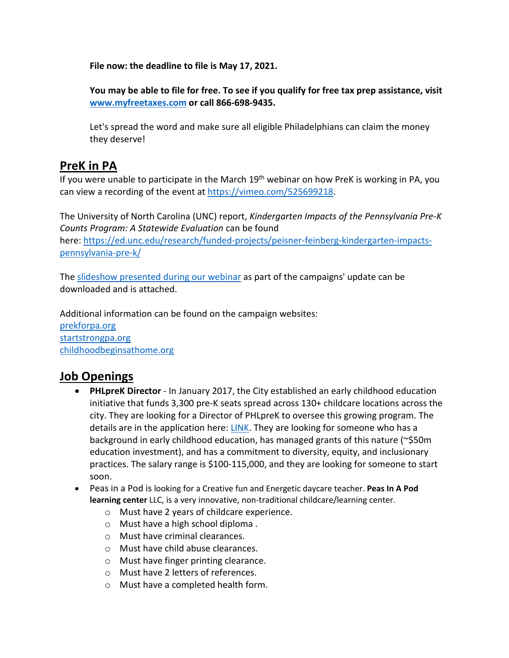**File now: the deadline to file is May 17, 2021.**

**You may be able to file for free. To see if you qualify for free tax prep assistance, visit [www.myfreetaxes.com](https://www.myfreetaxes.com/) or call 866-698-9435.**

Let's spread the word and make sure all eligible Philadelphians can claim the money they deserve!

## **PreK in PA**

If you were unable to participate in the March  $19<sup>th</sup>$  webinar on how PreK is working in PA, you can view a recording of the event at [https://vimeo.com/525699218.](https://vimeo.com/525699218)

The University of North Carolina (UNC) report, *Kindergarten Impacts of the Pennsylvania Pre-K Counts Program: A Statewide Evaluation* can be found here: [https://ed.unc.edu/research/funded-projects/peisner-feinberg-kindergarten-impacts](https://ed.unc.edu/research/funded-projects/peisner-feinberg-kindergarten-impacts-pennsylvania-pre-k/)[pennsylvania-pre-k/](https://ed.unc.edu/research/funded-projects/peisner-feinberg-kindergarten-impacts-pennsylvania-pre-k/)

The [slideshow presented during our webinar](https://www.dropbox.com/scl/fi/39f3zmld6ly0qx3cj6f5v/3_16_21-Webinar-ELPA-Updates.pptx?dl=0&rlkey=lhjda7ly07ik927347rbhyslx) as part of the campaigns' update can be downloaded and is attached.

Additional information can be found on the campaign websites: [prekforpa.org](http://www.prekforpa.org/) [startstrongpa.org](https://startstrongpa.org/) [childhoodbeginsathome.org](https://www.childhoodbeginsathome.org/)

# **Job Openings**

- **PHLpreK Director** In January 2017, the City established an early childhood education initiative that funds 3,300 pre-K seats spread across 130+ childcare locations across the city. They are looking for a Director of PHLpreK to oversee this growing program. The details are in the application here: **LINK**. They are looking for someone who has a background in early childhood education, has managed grants of this nature (~\$50m education investment), and has a commitment to diversity, equity, and inclusionary practices. The salary range is \$100-115,000, and they are looking for someone to start soon.
- Peas in a Pod is looking for a Creative fun and Energetic daycare teacher. **Peas In A Pod learning center** LLC, is a very innovative, non-traditional childcare/learning center.
	- o Must have 2 years of childcare experience.
	- o Must have a high school diploma .
	- o Must have criminal clearances.
	- o Must have child abuse clearances.
	- o Must have finger printing clearance.
	- o Must have 2 letters of references.
	- o Must have a completed health form.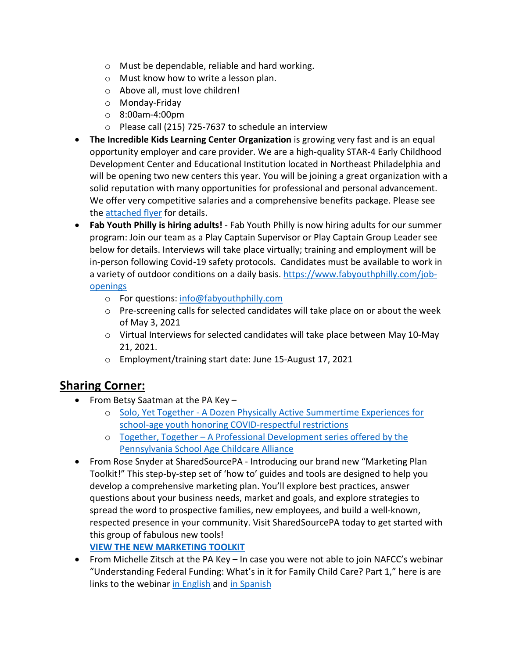- o Must be dependable, reliable and hard working.
- o Must know how to write a lesson plan.
- o Above all, must love children!
- o Monday-Friday
- o 8:00am-4:00pm
- o Please call (215) 725-7637 to schedule an interview
- **The Incredible Kids Learning Center Organization** is growing very fast and is an equal opportunity employer and care provider. We are a high-quality STAR-4 Early Childhood Development Center and Educational Institution located in Northeast Philadelphia and will be opening two new centers this year. You will be joining a great organization with a solid reputation with many opportunities for professional and personal advancement. We offer very competitive salaries and a comprehensive benefits package. Please see the [attached flyer](https://www.dropbox.com/s/b4kxfdorho8xh1i/Incredible%20Kids%20job%20openings.pdf?dl=0) for details.
- **Fab Youth Philly is hiring adults!** Fab Youth Philly is now hiring adults for our summer program: Join our team as a Play Captain Supervisor or Play Captain Group Leader see below for details. Interviews will take place virtually; training and employment will be in-person following Covid-19 safety protocols. Candidates must be available to work in a variety of outdoor conditions on a daily basis. [https://www.fabyouthphilly.com/job](https://www.fabyouthphilly.com/job-openings)[openings](https://www.fabyouthphilly.com/job-openings)
	- o For questions: [info@fabyouthphilly.com](mailto:info@fabyouthphilly.com)
	- o Pre-screening calls for selected candidates will take place on or about the week of May 3, 2021
	- o Virtual Interviews for selected candidates will take place between May 10-May 21, 2021.
	- o Employment/training start date: June 15-August 17, 2021

## **Sharing Corner:**

- From Betsy Saatman at the PA Key
	- o Solo, Yet Together [A Dozen Physically Active Summertime Experiences for](https://www.dropbox.com/s/eti7v994ig5z8yc/Solo%20Yet%20Together.pdf?dl=0)  [school-age youth honoring COVID-respectful restrictions](https://www.dropbox.com/s/eti7v994ig5z8yc/Solo%20Yet%20Together.pdf?dl=0)
	- o Together, Together [A Professional Development series offered by the](https://www.dropbox.com/s/eti7v994ig5z8yc/Solo%20Yet%20Together.pdf?dl=0)  [Pennsylvania School Age Childcare Alliance](https://www.dropbox.com/s/eti7v994ig5z8yc/Solo%20Yet%20Together.pdf?dl=0)
- From Rose Snyder at SharedSourcePA Introducing our brand new "Marketing Plan Toolkit!" This step-by-step set of 'how to' guides and tools are designed to help you develop a comprehensive marketing plan. You'll explore best practices, answer questions about your business needs, market and goals, and explore strategies to spread the word to prospective families, new employees, and build a well-known, respected presence in your community. Visit SharedSourcePA today to get started with this group of fabulous new tools!

**[VIEW THE NEW MARKETING TOOLKIT](https://protect-us.mimecast.com/s/klPXCv2zLzT2Q4jsyYIy5)**

• From Michelle Zitsch at the PA Key – In case you were not able to join NAFCC's webinar "Understanding Federal Funding: What's in it for Family Child Care? Part 1," here is are links to the webinar [in English](https://www.youtube.com/watch?v=z3TOugYbBzg&t=319s) and [in Spanish](https://youtu.be/lU8PqH4-O74)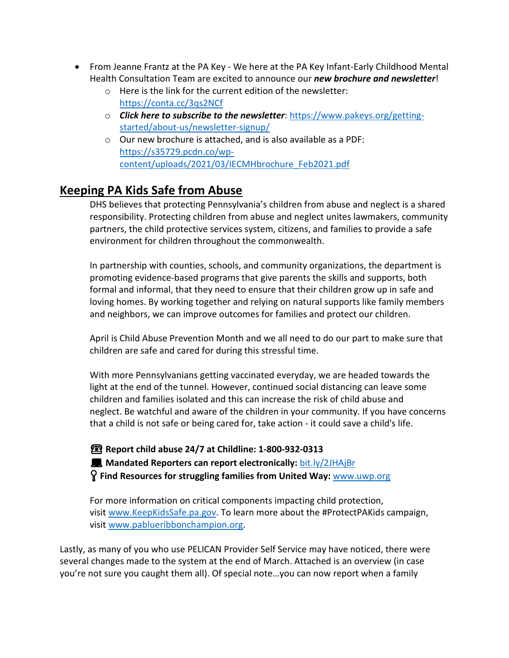- From Jeanne Frantz at the PA Key We here at the PA Key Infant-Early Childhood Mental Health Consultation Team are excited to announce our *new brochure and newsletter*!
	- o Here is the link for the current edition of the newsletter: [https://conta.cc/3qs2NCf](https://myemail.constantcontact.com/Bright-Start--Bright-Kids--Bright-Future---March-2021.html?soid=1112117859299&aid=XRVloqJSLeQ)
	- o *Click here to subscribe to the newsletter*: [https://www.pakeys.org/getting](https://www.pakeys.org/getting-started/about-us/newsletter-signup/)[started/about-us/newsletter-signup/](https://www.pakeys.org/getting-started/about-us/newsletter-signup/)
	- o Our new brochure is attached, and is also available as a PDF: [https://s35729.pcdn.co/wp](https://s35729.pcdn.co/wp-content/uploads/2021/03/IECMHbrochure_Feb2021.pdf)[content/uploads/2021/03/IECMHbrochure\\_Feb2021.pdf](https://s35729.pcdn.co/wp-content/uploads/2021/03/IECMHbrochure_Feb2021.pdf)

## **Keeping PA Kids Safe from Abuse**

DHS believes that protecting Pennsylvania's children from abuse and neglect is a shared responsibility. Protecting children from abuse and neglect unites lawmakers, community partners, the child protective services system, citizens, and families to provide a safe environment for children throughout the commonwealth.

In partnership with counties, schools, and community organizations, the department is promoting evidence-based programs that give parents the skills and supports, both formal and informal, that they need to ensure that their children grow up in safe and loving homes. By working together and relying on natural supports like family members and neighbors, we can improve outcomes for families and protect our children.

April is Child Abuse Prevention Month and we all need to do our part to make sure that children are safe and cared for during this stressful time.

With more Pennsylvanians getting vaccinated everyday, we are headed towards the light at the end of the tunnel. However, continued social distancing can leave some children and families isolated and this can increase the risk of child abuse and neglect. Be watchful and aware of the children in your community. If you have concerns that a child is not safe or being cared for, take action - it could save a child's life.

☎**Report child abuse 24/7 at Childline: 1-800-932-0313 Mandated Reporters can report electronically: [bit.ly/2JHAjBr](https://www.compass.state.pa.us/cwis/public/home?fbclid=IwAR1sR9vVRvkQiVumPBFB0A4D6xKMVWe6Ho8_A-fQnp3f5H4HGq6bEr2a92Q) Find Resources for struggling families from United Way:** [www.uwp.org](https://www.uwp.org/?fbclid=IwAR3Sy8DIg05u-HFekX9eIzfo_0czMo5Vc0XLAXyqnZq81UTjKLeACGWf47o)

For more information on critical components impacting child protection, visit [www.KeepKidsSafe.pa.gov.](https://www.dhs.pa.gov/keepkidssafe/Pages/default.aspx) To learn more about the #ProtectPAKids campaign, visit [www.pablueribbonchampion.org.](http://www.pablueribbonchampion.org/)

Lastly, as many of you who use PELICAN Provider Self Service may have noticed, there were several changes made to the system at the end of March. Attached is an overview (in case you're not sure you caught them all). Of special note…you can now report when a family